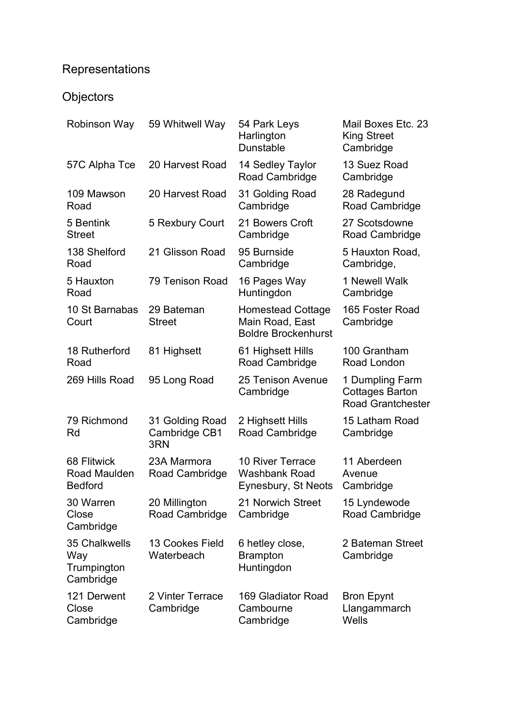## Representations

## **Objectors**

| <b>Robinson Way</b>                              | 59 Whitwell Way                         | 54 Park Leys<br>Harlington<br><b>Dunstable</b>                            | Mail Boxes Etc. 23<br><b>King Street</b><br>Cambridge                 |
|--------------------------------------------------|-----------------------------------------|---------------------------------------------------------------------------|-----------------------------------------------------------------------|
| 57C Alpha Tce                                    | 20 Harvest Road                         | 14 Sedley Taylor<br>Road Cambridge                                        | 13 Suez Road<br>Cambridge                                             |
| 109 Mawson<br>Road                               | 20 Harvest Road                         | 31 Golding Road<br>Cambridge                                              | 28 Radegund<br>Road Cambridge                                         |
| 5 Bentink<br><b>Street</b>                       | 5 Rexbury Court                         | 21 Bowers Croft<br>Cambridge                                              | 27 Scotsdowne<br>Road Cambridge                                       |
| 138 Shelford<br>Road                             | 21 Glisson Road                         | 95 Burnside<br>Cambridge                                                  | 5 Hauxton Road,<br>Cambridge,                                         |
| 5 Hauxton<br>Road                                | 79 Tenison Road                         | 16 Pages Way<br>Huntingdon                                                | 1 Newell Walk<br>Cambridge                                            |
| 10 St Barnabas<br>Court                          | 29 Bateman<br><b>Street</b>             | <b>Homestead Cottage</b><br>Main Road, East<br><b>Boldre Brockenhurst</b> | 165 Foster Road<br>Cambridge                                          |
| 18 Rutherford<br>Road                            | 81 Highsett                             | 61 Highsett Hills<br>Road Cambridge                                       | 100 Grantham<br>Road London                                           |
| 269 Hills Road                                   | 95 Long Road                            | 25 Tenison Avenue<br>Cambridge                                            | 1 Dumpling Farm<br><b>Cottages Barton</b><br><b>Road Grantchester</b> |
| 79 Richmond<br>Rd                                | 31 Golding Road<br>Cambridge CB1<br>3RN | 2 Highsett Hills<br>Road Cambridge                                        | 15 Latham Road<br>Cambridge                                           |
| 68 Flitwick<br>Road Maulden<br><b>Bedford</b>    | 23A Marmora<br>Road Cambridge           | <b>10 River Terrace</b><br><b>Washbank Road</b><br>Eynesbury, St Neots    | 11 Aberdeen<br>Avenue<br>Cambridge                                    |
| 30 Warren<br>Close<br>Cambridge                  | 20 Millington<br>Road Cambridge         | 21 Norwich Street<br>Cambridge                                            | 15 Lyndewode<br>Road Cambridge                                        |
| 35 Chalkwells<br>Way<br>Trumpington<br>Cambridge | 13 Cookes Field<br>Waterbeach           | 6 hetley close,<br><b>Brampton</b><br>Huntingdon                          | 2 Bateman Street<br>Cambridge                                         |
| 121 Derwent<br>Close<br>Cambridge                | 2 Vinter Terrace<br>Cambridge           | 169 Gladiator Road<br>Cambourne<br>Cambridge                              | <b>Bron Epynt</b><br>Llangammarch<br>Wells                            |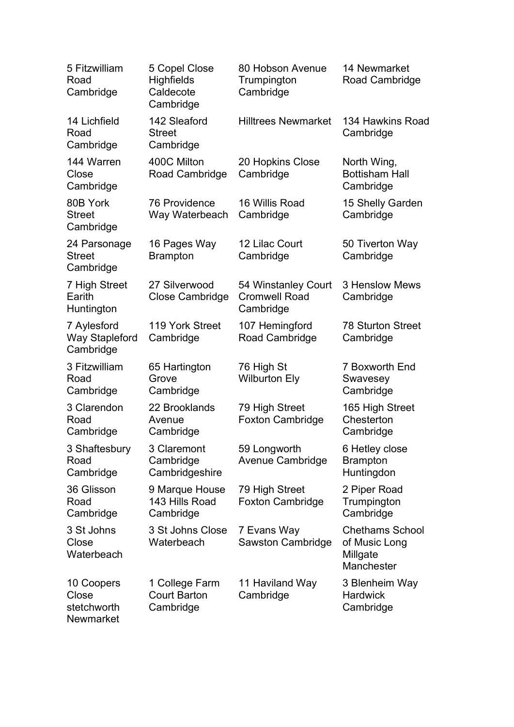| 5 Fitzwilliam<br>Road<br>Cambridge                | 5 Copel Close<br><b>Highfields</b><br>Caldecote<br>Cambridge | 80 Hobson Avenue<br>Trumpington<br>Cambridge             | 14 Newmarket<br>Road Cambridge                                    |
|---------------------------------------------------|--------------------------------------------------------------|----------------------------------------------------------|-------------------------------------------------------------------|
| 14 Lichfield<br>Road<br>Cambridge                 | 142 Sleaford<br><b>Street</b><br>Cambridge                   | <b>Hilltrees Newmarket</b>                               | 134 Hawkins Road<br>Cambridge                                     |
| 144 Warren<br>Close<br>Cambridge                  | 400C Milton<br>Road Cambridge                                | 20 Hopkins Close<br>Cambridge                            | North Wing,<br><b>Bottisham Hall</b><br>Cambridge                 |
| 80B York<br><b>Street</b><br>Cambridge            | <b>76 Providence</b><br>Way Waterbeach                       | 16 Willis Road<br>Cambridge                              | 15 Shelly Garden<br>Cambridge                                     |
| 24 Parsonage<br><b>Street</b><br>Cambridge        | 16 Pages Way<br><b>Brampton</b>                              | 12 Lilac Court<br>Cambridge                              | 50 Tiverton Way<br>Cambridge                                      |
| 7 High Street<br>Earith<br>Huntington             | 27 Silverwood<br><b>Close Cambridge</b>                      | 54 Winstanley Court<br><b>Cromwell Road</b><br>Cambridge | <b>3 Henslow Mews</b><br>Cambridge                                |
| 7 Aylesford<br><b>Way Stapleford</b><br>Cambridge | 119 York Street<br>Cambridge                                 | 107 Hemingford<br>Road Cambridge                         | <b>78 Sturton Street</b><br>Cambridge                             |
| 3 Fitzwilliam<br>Road<br>Cambridge                | 65 Hartington<br>Grove<br>Cambridge                          | 76 High St<br><b>Wilburton Ely</b>                       | 7 Boxworth End<br>Swavesey<br>Cambridge                           |
| 3 Clarendon<br>Road<br>Cambridge                  | 22 Brooklands<br>Avenue<br>Cambridge                         | 79 High Street<br><b>Foxton Cambridge</b>                | 165 High Street<br>Chesterton<br>Cambridge                        |
| 3 Shaftesbury<br>Road<br>Cambridge                | 3 Claremont<br>Cambridge<br>Cambridgeshire                   | 59 Longworth<br>Avenue Cambridge                         | 6 Hetley close<br><b>Brampton</b><br>Huntingdon                   |
| 36 Glisson<br>Road<br>Cambridge                   | 9 Marque House<br>143 Hills Road<br>Cambridge                | 79 High Street<br><b>Foxton Cambridge</b>                | 2 Piper Road<br>Trumpington<br>Cambridge                          |
| 3 St Johns<br>Close<br>Waterbeach                 | 3 St Johns Close<br>Waterbeach                               | 7 Evans Way<br>Sawston Cambridge                         | <b>Chethams School</b><br>of Music Long<br>Millgate<br>Manchester |
| 10 Coopers<br>Close<br>stetchworth<br>Newmarket   | 1 College Farm<br><b>Court Barton</b><br>Cambridge           | 11 Haviland Way<br>Cambridge                             | 3 Blenheim Way<br><b>Hardwick</b><br>Cambridge                    |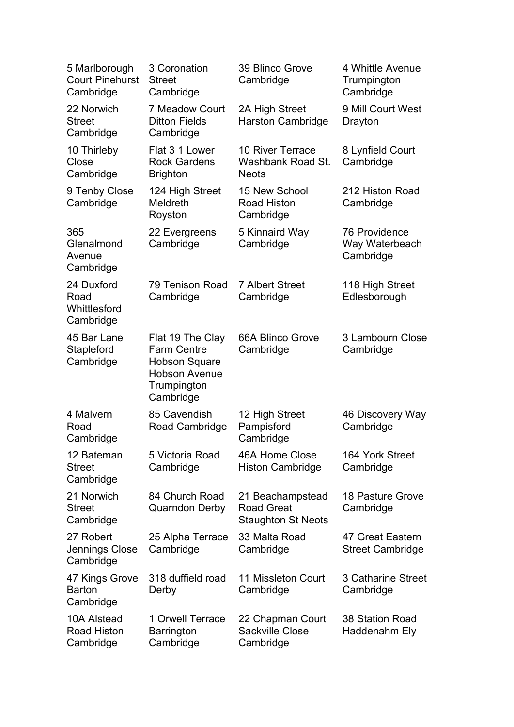| 5 Marlborough<br><b>Court Pinehurst</b><br>Cambridge | 3 Coronation<br><b>Street</b><br>Cambridge                                                                         | 39 Blinco Grove<br>Cambridge                                       | 4 Whittle Avenue<br>Trumpington<br>Cambridge        |
|------------------------------------------------------|--------------------------------------------------------------------------------------------------------------------|--------------------------------------------------------------------|-----------------------------------------------------|
| 22 Norwich<br><b>Street</b><br>Cambridge             | <b>7 Meadow Court</b><br><b>Ditton Fields</b><br>Cambridge                                                         | 2A High Street<br><b>Harston Cambridge</b>                         | 9 Mill Court West<br>Drayton                        |
| 10 Thirleby<br>Close<br>Cambridge                    | Flat 3 1 Lower<br><b>Rock Gardens</b><br><b>Brighton</b>                                                           | <b>10 River Terrace</b><br>Washbank Road St.<br><b>Neots</b>       | 8 Lynfield Court<br>Cambridge                       |
| 9 Tenby Close<br>Cambridge                           | 124 High Street<br><b>Meldreth</b><br>Royston                                                                      | 15 New School<br><b>Road Histon</b><br>Cambridge                   | 212 Histon Road<br>Cambridge                        |
| 365<br>Glenalmond<br>Avenue<br>Cambridge             | 22 Evergreens<br>Cambridge                                                                                         | 5 Kinnaird Way<br>Cambridge                                        | <b>76 Providence</b><br>Way Waterbeach<br>Cambridge |
| 24 Duxford<br>Road<br>Whittlesford<br>Cambridge      | 79 Tenison Road<br>Cambridge                                                                                       | <b>7 Albert Street</b><br>Cambridge                                | 118 High Street<br>Edlesborough                     |
| 45 Bar Lane<br>Stapleford<br>Cambridge               | Flat 19 The Clay<br><b>Farm Centre</b><br><b>Hobson Square</b><br><b>Hobson Avenue</b><br>Trumpington<br>Cambridge | 66A Blinco Grove<br>Cambridge                                      | 3 Lambourn Close<br>Cambridge                       |
| 4 Malvern<br>Road<br>Cambridge                       | 85 Cavendish<br>Road Cambridge                                                                                     | 12 High Street<br>Pampisford<br>Cambridge                          | 46 Discovery Way<br>Cambridge                       |
| 12 Bateman<br><b>Street</b><br>Cambridge             | 5 Victoria Road<br>Cambridge                                                                                       | 46A Home Close<br><b>Histon Cambridge</b>                          | 164 York Street<br>Cambridge                        |
| 21 Norwich<br><b>Street</b><br>Cambridge             | 84 Church Road<br><b>Quarndon Derby</b>                                                                            | 21 Beachampstead<br><b>Road Great</b><br><b>Staughton St Neots</b> | 18 Pasture Grove<br>Cambridge                       |
| 27 Robert<br>Jennings Close<br>Cambridge             | 25 Alpha Terrace<br>Cambridge                                                                                      | 33 Malta Road<br>Cambridge                                         | 47 Great Eastern<br><b>Street Cambridge</b>         |
| 47 Kings Grove<br><b>Barton</b><br>Cambridge         | 318 duffield road<br>Derby                                                                                         | 11 Missleton Court<br>Cambridge                                    | <b>3 Catharine Street</b><br>Cambridge              |
| 10A Alstead<br><b>Road Histon</b><br>Cambridge       | 1 Orwell Terrace<br><b>Barrington</b><br>Cambridge                                                                 | 22 Chapman Court<br><b>Sackville Close</b><br>Cambridge            | <b>38 Station Road</b><br>Haddenahm Ely             |